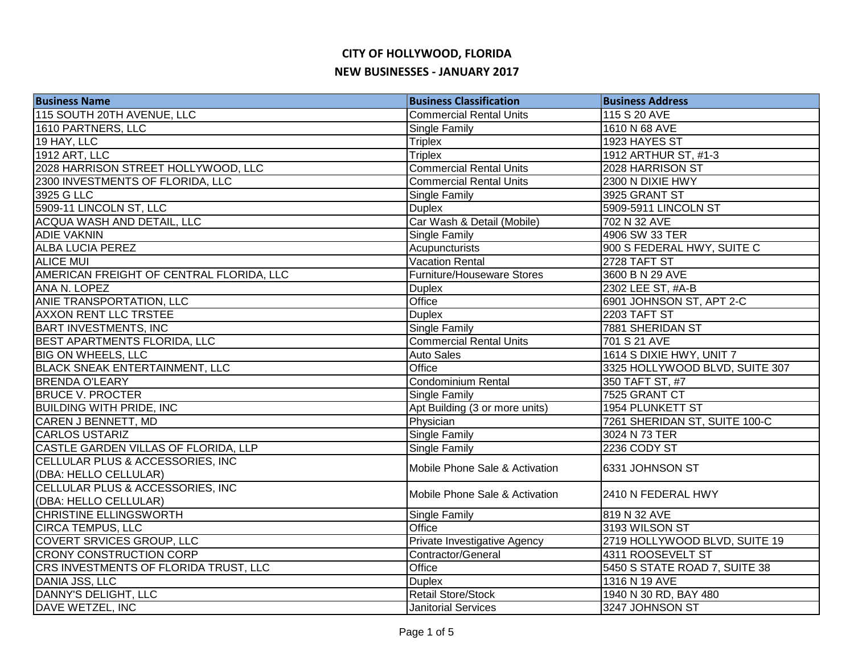| <b>Business Name</b>                     | <b>Business Classification</b> | <b>Business Address</b>        |
|------------------------------------------|--------------------------------|--------------------------------|
| 115 SOUTH 20TH AVENUE, LLC               | <b>Commercial Rental Units</b> | 115 S 20 AVE                   |
| 1610 PARTNERS, LLC                       | <b>Single Family</b>           | 1610 N 68 AVE                  |
| 19 HAY, LLC                              | <b>Triplex</b>                 | 1923 HAYES ST                  |
| <b>1912 ART, LLC</b>                     | <b>Triplex</b>                 | 1912 ARTHUR ST, #1-3           |
| 2028 HARRISON STREET HOLLYWOOD, LLC      | <b>Commercial Rental Units</b> | 2028 HARRISON ST               |
| 2300 INVESTMENTS OF FLORIDA, LLC         | <b>Commercial Rental Units</b> | 2300 N DIXIE HWY               |
| 3925 G LLC                               | Single Family                  | 3925 GRANT ST                  |
| 5909-11 LINCOLN ST, LLC                  | <b>Duplex</b>                  | 5909-5911 LINCOLN ST           |
| ACQUA WASH AND DETAIL, LLC               | Car Wash & Detail (Mobile)     | 702 N 32 AVE                   |
| <b>ADIE VAKNIN</b>                       | Single Family                  | 4906 SW 33 TER                 |
| <b>ALBA LUCIA PEREZ</b>                  | Acupuncturists                 | 900 S FEDERAL HWY, SUITE C     |
| <b>ALICE MUI</b>                         | Vacation Rental                | 2728 TAFT ST                   |
| AMERICAN FREIGHT OF CENTRAL FLORIDA, LLC | Furniture/Houseware Stores     | 3600 B N 29 AVE                |
| ANA N. LOPEZ                             | <b>Duplex</b>                  | 2302 LEE ST, #A-B              |
| ANIE TRANSPORTATION, LLC                 | Office                         | 6901 JOHNSON ST, APT 2-C       |
| <b>AXXON RENT LLC TRSTEE</b>             | <b>Duplex</b>                  | 2203 TAFT ST                   |
| <b>BART INVESTMENTS, INC</b>             | <b>Single Family</b>           | 7881 SHERIDAN ST               |
| BEST APARTMENTS FLORIDA, LLC             | <b>Commercial Rental Units</b> | 701 S 21 AVE                   |
| <b>BIG ON WHEELS, LLC</b>                | <b>Auto Sales</b>              | 1614 S DIXIE HWY, UNIT 7       |
| <b>BLACK SNEAK ENTERTAINMENT, LLC</b>    | Office                         | 3325 HOLLYWOOD BLVD, SUITE 307 |
| <b>BRENDA O'LEARY</b>                    | <b>Condominium Rental</b>      | 350 TAFT ST, #7                |
| <b>BRUCE V. PROCTER</b>                  | Single Family                  | 7525 GRANT CT                  |
| <b>BUILDING WITH PRIDE, INC</b>          | Apt Building (3 or more units) | 1954 PLUNKETT ST               |
| <b>CAREN J BENNETT, MD</b>               | Physician                      | 7261 SHERIDAN ST, SUITE 100-C  |
| <b>CARLOS USTARIZ</b>                    | Single Family                  | 3024 N 73 TER                  |
| CASTLE GARDEN VILLAS OF FLORIDA, LLP     | <b>Single Family</b>           | 2236 CODY ST                   |
| CELLULAR PLUS & ACCESSORIES, INC         | Mobile Phone Sale & Activation | 6331 JOHNSON ST                |
| (DBA: HELLO CELLULAR)                    |                                |                                |
| CELLULAR PLUS & ACCESSORIES, INC         | Mobile Phone Sale & Activation | 2410 N FEDERAL HWY             |
| (DBA: HELLO CELLULAR)                    |                                |                                |
| CHRISTINE ELLINGSWORTH                   | Single Family                  | 819 N 32 AVE                   |
| <b>CIRCA TEMPUS, LLC</b>                 | Office                         | 3193 WILSON ST                 |
| COVERT SRVICES GROUP, LLC                | Private Investigative Agency   | 2719 HOLLYWOOD BLVD, SUITE 19  |
| <b>CRONY CONSTRUCTION CORP</b>           | Contractor/General             | 4311 ROOSEVELT ST              |
| CRS INVESTMENTS OF FLORIDA TRUST, LLC    | Office                         | 5450 S STATE ROAD 7, SUITE 38  |
| DANIA JSS, LLC                           | <b>Duplex</b>                  | 1316 N 19 AVE                  |
| DANNY'S DELIGHT, LLC                     | <b>Retail Store/Stock</b>      | 1940 N 30 RD, BAY 480          |
| DAVE WETZEL, INC                         | <b>Janitorial Services</b>     | 3247 JOHNSON ST                |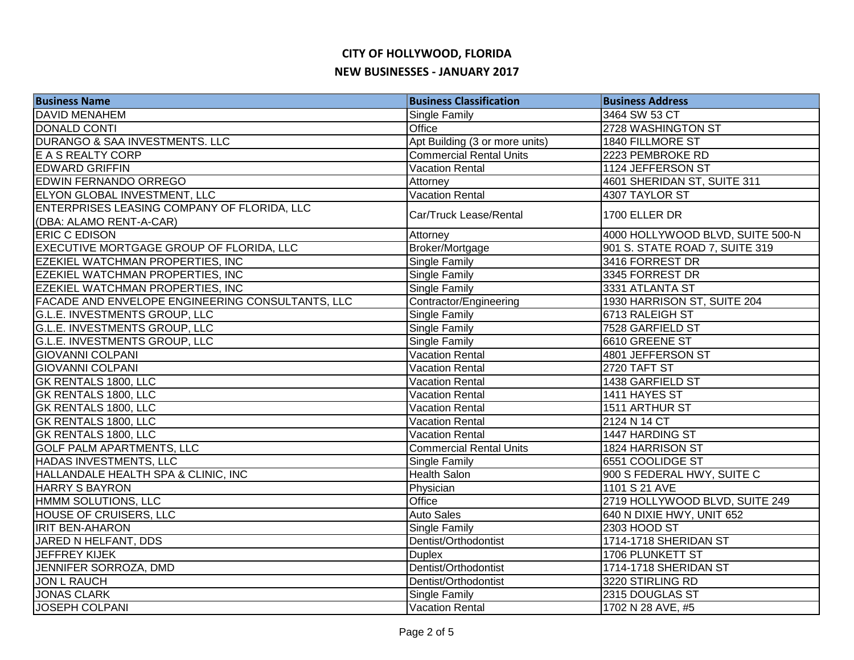| <b>Business Name</b>                             | <b>Business Classification</b> | <b>Business Address</b>          |
|--------------------------------------------------|--------------------------------|----------------------------------|
| <b>DAVID MENAHEM</b>                             | Single Family                  | 3464 SW 53 CT                    |
| <b>DONALD CONTI</b>                              | Office                         | 2728 WASHINGTON ST               |
| DURANGO & SAA INVESTMENTS. LLC                   | Apt Building (3 or more units) | 1840 FILLMORE ST                 |
| E A S REALTY CORP                                | <b>Commercial Rental Units</b> | 2223 PEMBROKE RD                 |
| <b>EDWARD GRIFFIN</b>                            | <b>Vacation Rental</b>         | 1124 JEFFERSON ST                |
| EDWIN FERNANDO ORREGO                            | Attorney                       | 4601 SHERIDAN ST, SUITE 311      |
| ELYON GLOBAL INVESTMENT, LLC                     | <b>Vacation Rental</b>         | 4307 TAYLOR ST                   |
| ENTERPRISES LEASING COMPANY OF FLORIDA, LLC      | Car/Truck Lease/Rental         | 1700 ELLER DR                    |
| (DBA: ALAMO RENT-A-CAR)                          |                                |                                  |
| <b>ERIC C EDISON</b>                             | Attorney                       | 4000 HOLLYWOOD BLVD, SUITE 500-N |
| EXECUTIVE MORTGAGE GROUP OF FLORIDA, LLC         | Broker/Mortgage                | 901 S. STATE ROAD 7, SUITE 319   |
| EZEKIEL WATCHMAN PROPERTIES, INC                 | Single Family                  | 3416 FORREST DR                  |
| EZEKIEL WATCHMAN PROPERTIES, INC                 | <b>Single Family</b>           | 3345 FORREST DR                  |
| <b>EZEKIEL WATCHMAN PROPERTIES, INC</b>          | Single Family                  | 3331 ATLANTA ST                  |
| FACADE AND ENVELOPE ENGINEERING CONSULTANTS, LLC | Contractor/Engineering         | 1930 HARRISON ST, SUITE 204      |
| G.L.E. INVESTMENTS GROUP, LLC                    | <b>Single Family</b>           | 6713 RALEIGH ST                  |
| G.L.E. INVESTMENTS GROUP, LLC                    | Single Family                  | 7528 GARFIELD ST                 |
| G.L.E. INVESTMENTS GROUP, LLC                    | <b>Single Family</b>           | 6610 GREENE ST                   |
| <b>GIOVANNI COLPANI</b>                          | <b>Vacation Rental</b>         | 4801 JEFFERSON ST                |
| <b>GIOVANNI COLPANI</b>                          | <b>Vacation Rental</b>         | 2720 TAFT ST                     |
| GK RENTALS 1800, LLC                             | <b>Vacation Rental</b>         | 1438 GARFIELD ST                 |
| GK RENTALS 1800, LLC                             | <b>Vacation Rental</b>         | 1411 HAYES ST                    |
| GK RENTALS 1800, LLC                             | Vacation Rental                | 1511 ARTHUR ST                   |
| GK RENTALS 1800, LLC                             | <b>Vacation Rental</b>         | 2124 N 14 CT                     |
| GK RENTALS 1800, LLC                             | <b>Vacation Rental</b>         | 1447 HARDING ST                  |
| <b>GOLF PALM APARTMENTS, LLC</b>                 | <b>Commercial Rental Units</b> | 1824 HARRISON ST                 |
| <b>HADAS INVESTMENTS, LLC</b>                    | Single Family                  | 6551 COOLIDGE ST                 |
| HALLANDALE HEALTH SPA & CLINIC, INC              | Health Salon                   | 900 S FEDERAL HWY, SUITE C       |
| <b>HARRY S BAYRON</b>                            | Physician                      | 1101 S 21 AVE                    |
| HMMM SOLUTIONS, LLC                              | Office                         | 2719 HOLLYWOOD BLVD, SUITE 249   |
| <b>HOUSE OF CRUISERS, LLC</b>                    | <b>Auto Sales</b>              | 640 N DIXIE HWY, UNIT 652        |
| <b>IRIT BEN-AHARON</b>                           | Single Family                  | 2303 HOOD ST                     |
| JARED N HELFANT, DDS                             | Dentist/Orthodontist           | 1714-1718 SHERIDAN ST            |
| <b>JEFFREY KIJEK</b>                             | <b>Duplex</b>                  | 1706 PLUNKETT ST                 |
| JENNIFER SORROZA, DMD                            | Dentist/Orthodontist           | 1714-1718 SHERIDAN ST            |
| <b>JON L RAUCH</b>                               | Dentist/Orthodontist           | 3220 STIRLING RD                 |
| <b>JONAS CLARK</b>                               | <b>Single Family</b>           | 2315 DOUGLAS ST                  |
| <b>JOSEPH COLPANI</b>                            | Vacation Rental                | 1702 N 28 AVE, #5                |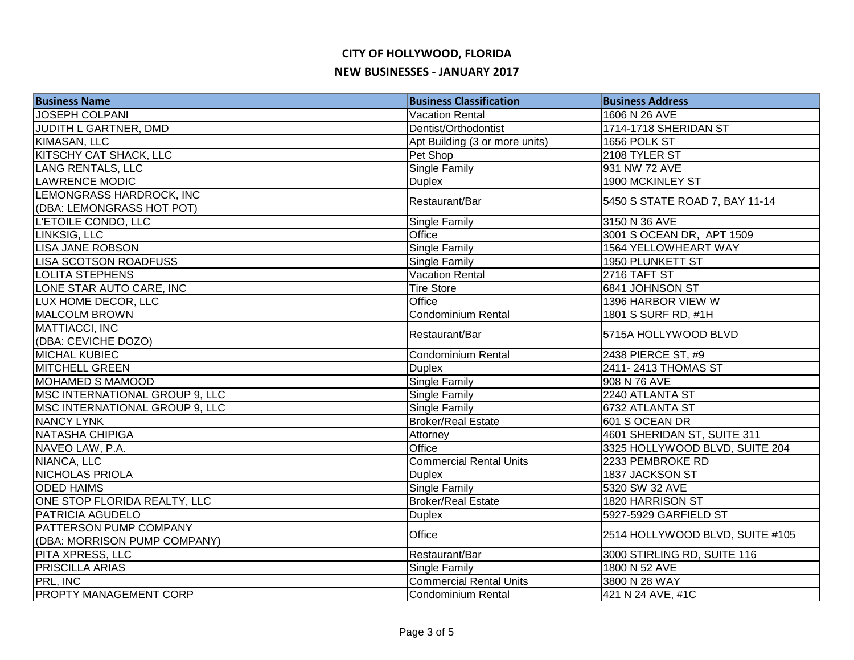| <b>Business Name</b>           | <b>Business Classification</b> | <b>Business Address</b>         |
|--------------------------------|--------------------------------|---------------------------------|
| <b>JOSEPH COLPANI</b>          | <b>Vacation Rental</b>         | 1606 N 26 AVE                   |
| JUDITH L GARTNER, DMD          | Dentist/Orthodontist           | 1714-1718 SHERIDAN ST           |
| <b>KIMASAN, LLC</b>            | Apt Building (3 or more units) | 1656 POLK ST                    |
| KITSCHY CAT SHACK, LLC         | Pet Shop                       | 2108 TYLER ST                   |
| <b>LANG RENTALS, LLC</b>       | <b>Single Family</b>           | 931 NW 72 AVE                   |
| <b>LAWRENCE MODIC</b>          | <b>Duplex</b>                  | 1900 MCKINLEY ST                |
| LEMONGRASS HARDROCK, INC       | Restaurant/Bar                 | 5450 S STATE ROAD 7, BAY 11-14  |
| (DBA: LEMONGRASS HOT POT)      |                                |                                 |
| L'ETOILE CONDO, LLC            | Single Family                  | 3150 N 36 AVE                   |
| LINKSIG, LLC                   | Office                         | 3001 S OCEAN DR, APT 1509       |
| <b>LISA JANE ROBSON</b>        | Single Family                  | 1564 YELLOWHEART WAY            |
| <b>LISA SCOTSON ROADFUSS</b>   | Single Family                  | 1950 PLUNKETT ST                |
| <b>LOLITA STEPHENS</b>         | <b>Vacation Rental</b>         | 2716 TAFT ST                    |
| LONE STAR AUTO CARE, INC       | <b>Tire Store</b>              | 6841 JOHNSON ST                 |
| LUX HOME DECOR, LLC            | Office                         | 1396 HARBOR VIEW W              |
| <b>MALCOLM BROWN</b>           | <b>Condominium Rental</b>      | 1801 S SURF RD, #1H             |
| MATTIACCI, INC                 | Restaurant/Bar                 |                                 |
| (DBA: CEVICHE DOZO)            |                                | 5715A HOLLYWOOD BLVD            |
| <b>MICHAL KUBIEC</b>           | <b>Condominium Rental</b>      | 2438 PIERCE ST, #9              |
| <b>MITCHELL GREEN</b>          | <b>Duplex</b>                  | 2411-2413 THOMAS ST             |
| <b>MOHAMED S MAMOOD</b>        | <b>Single Family</b>           | 908 N 76 AVE                    |
| MSC INTERNATIONAL GROUP 9, LLC | <b>Single Family</b>           | 2240 ATLANTA ST                 |
| MSC INTERNATIONAL GROUP 9, LLC | Single Family                  | 6732 ATLANTA ST                 |
| <b>NANCY LYNK</b>              | <b>Broker/Real Estate</b>      | 601 S OCEAN DR                  |
| <b>NATASHA CHIPIGA</b>         | Attorney                       | 4601 SHERIDAN ST, SUITE 311     |
| NAVEO LAW, P.A.                | Office                         | 3325 HOLLYWOOD BLVD, SUITE 204  |
| NIANCA, LLC                    | Commercial Rental Units        | 2233 PEMBROKE RD                |
| <b>NICHOLAS PRIOLA</b>         | <b>Duplex</b>                  | 1837 JACKSON ST                 |
| <b>ODED HAIMS</b>              | Single Family                  | 5320 SW 32 AVE                  |
| ONE STOP FLORIDA REALTY, LLC   | <b>Broker/Real Estate</b>      | 1820 HARRISON ST                |
| PATRICIA AGUDELO               | <b>Duplex</b>                  | 5927-5929 GARFIELD ST           |
| PATTERSON PUMP COMPANY         | Office                         | 2514 HOLLYWOOD BLVD, SUITE #105 |
| (DBA: MORRISON PUMP COMPANY)   |                                |                                 |
| PITA XPRESS, LLC               | Restaurant/Bar                 | 3000 STIRLING RD, SUITE 116     |
| <b>PRISCILLA ARIAS</b>         | <b>Single Family</b>           | 1800 N 52 AVE                   |
| PRL, INC                       | <b>Commercial Rental Units</b> | 3800 N 28 WAY                   |
| <b>PROPTY MANAGEMENT CORP</b>  | <b>Condominium Rental</b>      | 421 N 24 AVE, #1C               |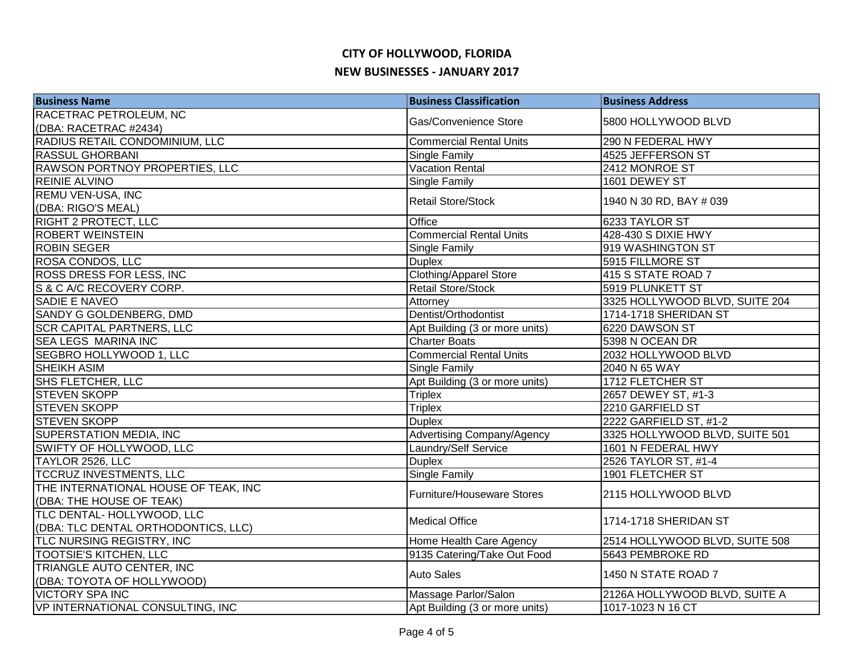| <b>Business Name</b>                 | <b>Business Classification</b>    | <b>Business Address</b>        |
|--------------------------------------|-----------------------------------|--------------------------------|
| RACETRAC PETROLEUM, NC               | Gas/Convenience Store             | 5800 HOLLYWOOD BLVD            |
| (DBA: RACETRAC #2434)                |                                   |                                |
| RADIUS RETAIL CONDOMINIUM, LLC       | <b>Commercial Rental Units</b>    | 290 N FEDERAL HWY              |
| <b>RASSUL GHORBANI</b>               | Single Family                     | 4525 JEFFERSON ST              |
| RAWSON PORTNOY PROPERTIES, LLC       | <b>Vacation Rental</b>            | 2412 MONROE ST                 |
| <b>REINIE ALVINO</b>                 | Single Family                     | 1601 DEWEY ST                  |
| <b>REMU VEN-USA, INC</b>             | Retail Store/Stock                |                                |
| (DBA: RIGO'S MEAL)                   |                                   | 1940 N 30 RD, BAY # 039        |
| RIGHT 2 PROTECT, LLC                 | Office                            | 6233 TAYLOR ST                 |
| <b>ROBERT WEINSTEIN</b>              | <b>Commercial Rental Units</b>    | 428-430 S DIXIE HWY            |
| <b>ROBIN SEGER</b>                   | Single Family                     | 919 WASHINGTON ST              |
| ROSA CONDOS, LLC                     | <b>Duplex</b>                     | 5915 FILLMORE ST               |
| ROSS DRESS FOR LESS, INC             | <b>Clothing/Apparel Store</b>     | 415 S STATE ROAD 7             |
| S & C A/C RECOVERY CORP.             | <b>Retail Store/Stock</b>         | 5919 PLUNKETT ST               |
| SADIE E NAVEO                        | Attorney                          | 3325 HOLLYWOOD BLVD, SUITE 204 |
| SANDY G GOLDENBERG, DMD              | Dentist/Orthodontist              | 1714-1718 SHERIDAN ST          |
| <b>SCR CAPITAL PARTNERS, LLC</b>     | Apt Building (3 or more units)    | 6220 DAWSON ST                 |
| <b>SEA LEGS MARINA INC</b>           | <b>Charter Boats</b>              | 5398 N OCEAN DR                |
| <b>SEGBRO HOLLYWOOD 1, LLC</b>       | <b>Commercial Rental Units</b>    | 2032 HOLLYWOOD BLVD            |
| <b>SHEIKH ASIM</b>                   | <b>Single Family</b>              | 2040 N 65 WAY                  |
| <b>SHS FLETCHER, LLC</b>             | Apt Building (3 or more units)    | 1712 FLETCHER ST               |
| <b>STEVEN SKOPP</b>                  | <b>Triplex</b>                    | 2657 DEWEY ST, #1-3            |
| <b>STEVEN SKOPP</b>                  | <b>Triplex</b>                    | 2210 GARFIELD ST               |
| <b>STEVEN SKOPP</b>                  | <b>Duplex</b>                     | 2222 GARFIELD ST, #1-2         |
| SUPERSTATION MEDIA, INC              | <b>Advertising Company/Agency</b> | 3325 HOLLYWOOD BLVD, SUITE 501 |
| SWIFTY OF HOLLYWOOD, LLC             | Laundry/Self Service              | 1601 N FEDERAL HWY             |
| TAYLOR 2526, LLC                     | <b>Duplex</b>                     | 2526 TAYLOR ST, #1-4           |
| <b>TCCRUZ INVESTMENTS, LLC</b>       | <b>Single Family</b>              | <b>1901 FLETCHER ST</b>        |
| THE INTERNATIONAL HOUSE OF TEAK, INC | Furniture/Houseware Stores        | 2115 HOLLYWOOD BLVD            |
| (DBA: THE HOUSE OF TEAK)             |                                   |                                |
| TLC DENTAL- HOLLYWOOD, LLC           | <b>Medical Office</b>             | 1714-1718 SHERIDAN ST          |
| (DBA: TLC DENTAL ORTHODONTICS, LLC)  |                                   |                                |
| TLC NURSING REGISTRY, INC            | Home Health Care Agency           | 2514 HOLLYWOOD BLVD, SUITE 508 |
| <b>TOOTSIE'S KITCHEN, LLC</b>        | 9135 Catering/Take Out Food       | 5643 PEMBROKE RD               |
| TRIANGLE AUTO CENTER, INC            | <b>Auto Sales</b>                 | 1450 N STATE ROAD 7            |
| (DBA: TOYOTA OF HOLLYWOOD)           |                                   |                                |
| <b>VICTORY SPA INC</b>               | Massage Parlor/Salon              | 2126A HOLLYWOOD BLVD, SUITE A  |
| VP INTERNATIONAL CONSULTING, INC     | Apt Building (3 or more units)    | 1017-1023 N 16 CT              |